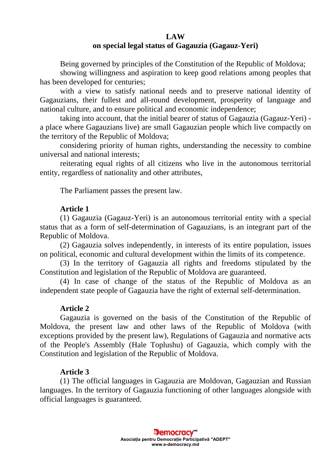## **LAW**

# **on special legal status of Gagauzia (Gagauz-Yeri)**

Being governed by principles of the Constitution of the Republic of Moldova;

showing willingness and aspiration to keep good relations among peoples that has been developed for centuries;

with a view to satisfy national needs and to preserve national identity of Gagauzians, their fullest and all-round development, prosperity of language and national culture, and to ensure political and economic independence;

taking into account, that the initial bearer of status of Gagauzia (Gagauz-Yeri) a place where Gagauzians live) are small Gagauzian people which live compactly on the territory of the Republic of Moldova;

considering priority of human rights, understanding the necessity to combine universal and national interests;

reiterating equal rights of all citizens who live in the autonomous territorial entity, regardless of nationality and other attributes,

The Parliament passes the present law.

# **Article 1**

(1) Gagauzia (Gagauz-Yeri) is an autonomous territorial entity with a special status that as a form of self-determination of Gagauzians, is an integrant part of the Republic of Moldova.

(2) Gagauzia solves independently, in interests of its entire population, issues on political, economic and cultural development within the limits of its competence.

(3) In the territory of Gagauzia all rights and freedoms stipulated by the Constitution and legislation of the Republic of Moldova are guaranteed.

(4) In case of change of the status of the Republic of Moldova as an independent state people of Gagauzia have the right of external self-determination.

# **Article 2**

Gagauzia is governed on the basis of the Constitution of the Republic of Moldova, the present law and other laws of the Republic of Moldova (with exceptions provided by the present law), Regulations of Gagauzia and normative acts of the People's Assembly (Hale Toplushu) of Gagauzia, which comply with the Constitution and legislation of the Republic of Moldova.

# **Article 3**

(1) The official languages in Gagauzia are Moldovan, Gagauzian and Russian languages. In the territory of Gagauzia functioning of other languages alongside with official languages is guaranteed.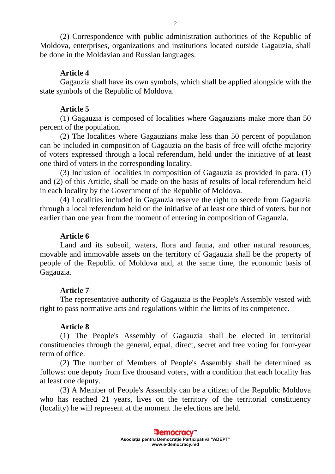(2) Correspondence with public administration authorities of the Republic of Moldova, enterprises, organizations and institutions located outside Gagauzia, shall be done in the Moldavian and Russian languages.

# **Article 4**

Gagauzia shall have its own symbols, which shall be applied alongside with the state symbols of the Republic of Moldova.

## **Article 5**

(1) Gagauzia is composed of localities where Gagauzians make more than 50 percent of the population.

(2) The localities where Gagauzians make less than 50 percent of population can be included in composition of Gagauzia on the basis of free will ofcthe majority of voters expressed through a local referendum, held under the initiative of at least one third of voters in the corresponding locality.

(3) Inclusion of localities in composition of Gagauzia as provided in para. (1) and (2) of this Article, shall be made on the basis of results of local referendum held in each locality by the Government of the Republic of Moldova.

(4) Localities included in Gagauzia reserve the right to secede from Gagauzia through a local referendum held on the initiative of at least one third of voters, but not earlier than one year from the moment of entering in composition of Gagauzia.

### **Article 6**

Land and its subsoil, waters, flora and fauna, and other natural resources, movable and immovable assets on the territory of Gagauzia shall be the property of people of the Republic of Moldova and, at the same time, the economic basis of Gagauzia.

# **Article 7**

The representative authority of Gagauzia is the People's Assembly vested with right to pass normative acts and regulations within the limits of its competence.

### **Article 8**

(1) The People's Assembly of Gagauzia shall be elected in territorial constituencies through the general, equal, direct, secret and free voting for four-year term of office.

(2) The number of Members of People's Assembly shall be determined as follows: one deputy from five thousand voters, with a condition that each locality has at least one deputy.

(3) A Member of People's Assembly can be a citizen of the Republic Moldova who has reached 21 years, lives on the territory of the territorial constituency (locality) he will represent at the moment the elections are held.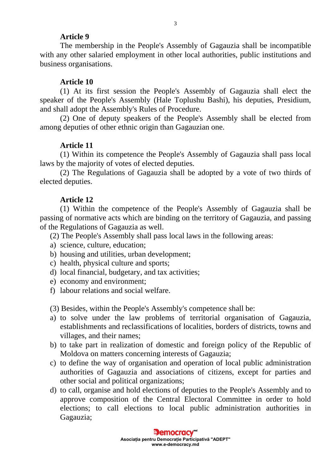## **Article 9**

The membership in the People's Assembly of Gagauzia shall be incompatible with any other salaried employment in other local authorities, public institutions and business organisations.

# **Article 10**

(1) At its first session the People's Assembly of Gagauzia shall elect the speaker of the People's Assembly (Hale Toplushu Bashi), his deputies, Presidium, and shall adopt the Assembly's Rules of Procedure.

(2) One of deputy speakers of the People's Assembly shall be elected from among deputies of other ethnic origin than Gagauzian one.

## **Article 11**

(1) Within its competence the People's Assembly of Gagauzia shall pass local laws by the majority of votes of elected deputies.

(2) The Regulations of Gagauzia shall be adopted by a vote of two thirds of elected deputies.

## **Article 12**

(1) Within the competence of the People's Assembly of Gagauzia shall be passing of normative acts which are binding on the territory of Gagauzia, and passing of the Regulations of Gagauzia as well.

- (2) The People's Assembly shall pass local laws in the following areas:
- a) science, culture, education;
- b) housing and utilities, urban development;
- c) health, physical culture and sports;
- d) local financial, budgetary, and tax activities;
- e) economy and environment;
- f) labour relations and social welfare.

(3) Besides, within the People's Assembly's competence shall be:

- a) to solve under the law problems of territorial organisation of Gagauzia, establishments and reclassifications of localities, borders of districts, towns and villages, and their names;
- b) to take part in realization of domestic and foreign policy of the Republic of Moldova on matters concerning interests of Gagauzia;
- c) to define the way of organisation and operation of local public administration authorities of Gagauzia and associations of citizens, except for parties and other social and political organizations;
- d) to call, organise and hold elections of deputies to the People's Assembly and to approve composition of the Central Electoral Committee in order to hold elections; to call elections to local public administration authorities in Gagauzia;

3

**Exemperacy Asociaţia pentru Democraţie Participativă "ADEPT" www.e-democracy.md**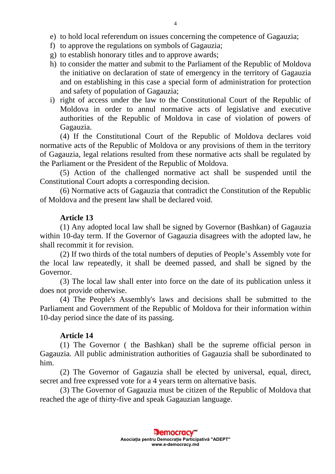- e) to hold local referendum on issues concerning the competence of Gagauzia;
- f) to approve the regulations on symbols of Gagauzia;
- g) to establish honorary titles and to approve awards;
- h) to consider the matter and submit to the Parliament of the Republic of Moldova the initiative on declaration of state of emergency in the territory of Gagauzia and on establishing in this case a special form of administration for protection and safety of population of Gagauzia;
- i) right of access under the law to the Constitutional Court of the Republic of Moldova in order to annul normative acts of legislative and executive authorities of the Republic of Moldova in case of violation of powers of Gagauzia.

(4) If the Constitutional Court of the Republic of Moldova declares void normative acts of the Republic of Moldova or any provisions of them in the territory of Gagauzia, legal relations resulted from these normative acts shall be regulated by the Parliament or the President of the Republic of Moldova.

(5) Action of the challenged normative act shall be suspended until the Constitutional Court adopts a corresponding decision.

(6) Normative acts of Gagauzia that contradict the Constitution of the Republic of Moldova and the present law shall be declared void.

### **Article 13**

(1) Any adopted local law shall be signed by Governor (Bashkan) of Gagauzia within 10-day term. If the Governor of Gagauzia disagrees with the adopted law, he shall recommit it for revision.

(2) If two thirds of the total numbers of deputies of People's Assembly vote for the local law repeatedly, it shall be deemed passed, and shall be signed by the Governor.

(3) The local law shall enter into force on the date of its publication unless it does not provide otherwise.

(4) The People's Assembly's laws and decisions shall be submitted to the Parliament and Government of the Republic of Moldova for their information within 10-day period since the date of its passing.

## **Article 14**

(1) The Governor ( the Bashkan) shall be the supreme official person in Gagauzia. All public administration authorities of Gagauzia shall be subordinated to him.

(2) The Governor of Gagauzia shall be elected by universal, equal, direct, secret and free expressed vote for a 4 years term on alternative basis.

(3) The Governor of Gagauzia must be citizen of the Republic of Moldova that reached the age of thirty-five and speak Gagauzian language.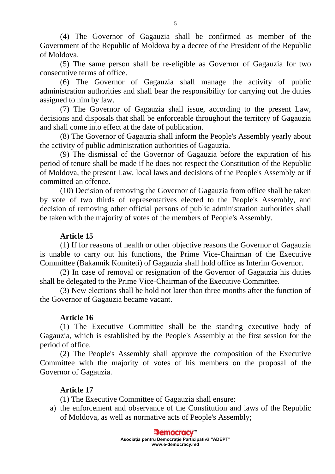(4) The Governor of Gagauzia shall be confirmed as member of the Government of the Republic of Moldova by a decree of the President of the Republic of Moldova.

(5) The same person shall be re-eligible as Governor of Gagauzia for two consecutive terms of office.

(6) The Governor of Gagauzia shall manage the activity of public administration authorities and shall bear the responsibility for carrying out the duties assigned to him by law.

(7) The Governor of Gagauzia shall issue, according to the present Law, decisions and disposals that shall be enforceable throughout the territory of Gagauzia and shall come into effect at the date of publication.

(8) The Governor of Gagauzia shall inform the People's Assembly yearly about the activity of public administration authorities of Gagauzia.

(9) The dismissal of the Governor of Gagauzia before the expiration of his period of tenure shall be made if he does not respect the Constitution of the Republic of Moldova, the present Law, local laws and decisions of the People's Assembly or if committed an offence.

(10) Decision of removing the Governor of Gagauzia from office shall be taken by vote of two thirds of representatives elected to the People's Assembly, and decision of removing other official persons of public administration authorities shall be taken with the majority of votes of the members of People's Assembly.

# **Article 15**

(1) If for reasons of health or other objective reasons the Governor of Gagauzia is unable to carry out his functions, the Prime Vice-Chairman of the Executive Committee (Bakannik Komiteti) of Gagauzia shall hold office as Interim Governor.

(2) In case of removal or resignation of the Governor of Gagauzia his duties shall be delegated to the Prime Vice-Chairman of the Executive Committee.

(3) New elections shall be hold not later than three months after the function of the Governor of Gagauzia became vacant.

# **Article 16**

(1) The Executive Committee shall be the standing executive body of Gagauzia, which is established by the People's Assembly at the first session for the period of office.

(2) The People's Assembly shall approve the composition of the Executive Committee with the majority of votes of his members on the proposal of the Governor of Gagauzia.

# **Article 17**

(1) The Executive Committee of Gagauzia shall ensure:

a) the enforcement and observance of the Constitution and laws of the Republic of Moldova, as well as normative acts of People's Assembly;

> **E** emocracy **Asociaţia pentru Democraţie Participativă "ADEPT" www.e-democracy.md**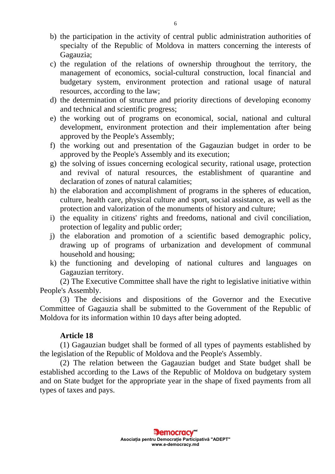- b) the participation in the activity of central public administration authorities of specialty of the Republic of Moldova in matters concerning the interests of Gagauzia;
- c) the regulation of the relations of ownership throughout the territory, the management of economics, social-cultural construction, local financial and budgetary system, environment protection and rational usage of natural resources, according to the law;
- d) the determination of structure and priority directions of developing economy and technical and scientific progress;
- e) the working out of programs on economical, social, national and cultural development, environment protection and their implementation after being approved by the People's Assembly;
- f) the working out and presentation of the Gagauzian budget in order to be approved by the People's Assembly and its execution;
- g) the solving of issues concerning ecological security, rational usage, protection and revival of natural resources, the establishment of quarantine and declaration of zones of natural calamities;
- h) the elaboration and accomplishment of programs in the spheres of education, culture, health care, physical culture and sport, social assistance, as well as the protection and valorization of the monuments of history and culture;
- i) the equality in citizens' rights and freedoms, national and civil conciliation, protection of legality and public order;
- j) the elaboration and promotion of a scientific based demographic policy, drawing up of programs of urbanization and development of communal household and housing;
- k) the functioning and developing of national cultures and languages on Gagauzian territory.

(2) The Executive Committee shall have the right to legislative initiative within People's Assembly.

(3) The decisions and dispositions of the Governor and the Executive Committee of Gagauzia shall be submitted to the Government of the Republic of Moldova for its information within 10 days after being adopted.

# **Article 18**

(1) Gagauzian budget shall be formed of all types of payments established by the legislation of the Republic of Moldova and the People's Assembly.

(2) The relation between the Gagauzian budget and State budget shall be established according to the Laws of the Republic of Moldova on budgetary system and on State budget for the appropriate year in the shape of fixed payments from all types of taxes and pays.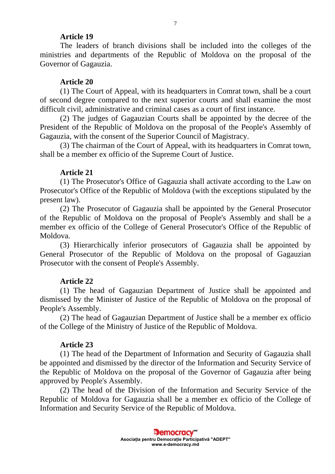#### **Article 19**

The leaders of branch divisions shall be included into the colleges of the ministries and departments of the Republic of Moldova on the proposal of the Governor of Gagauzia.

### **Article 20**

(1) The Court of Appeal, with its headquarters in Comrat town, shall be a court of second degree compared to the next superior courts and shall examine the most difficult civil, administrative and criminal cases as a court of first instance.

(2) The judges of Gagauzian Courts shall be appointed by the decree of the President of the Republic of Moldova on the proposal of the People's Assembly of Gagauzia, with the consent of the Superior Council of Magistracy.

(3) The chairman of the Court of Appeal, with its headquarters in Comrat town, shall be a member ex officio of the Supreme Court of Justice.

#### **Article 21**

(1) The Prosecutor's Office of Gagauzia shall activate according to the Law on Prosecutor's Office of the Republic of Moldova (with the exceptions stipulated by the present law).

(2) The Prosecutor of Gagauzia shall be appointed by the General Prosecutor of the Republic of Moldova on the proposal of People's Assembly and shall be a member ex officio of the College of General Prosecutor's Office of the Republic of Moldova.

(3) Hierarchically inferior prosecutors of Gagauzia shall be appointed by General Prosecutor of the Republic of Moldova on the proposal of Gagauzian Prosecutor with the consent of People's Assembly.

#### **Article 22**

(1) The head of Gagauzian Department of Justice shall be appointed and dismissed by the Minister of Justice of the Republic of Moldova on the proposal of People's Assembly.

(2) The head of Gagauzian Department of Justice shall be a member ex officio of the College of the Ministry of Justice of the Republic of Moldova.

## **Article 23**

(1) The head of the Department of Information and Security of Gagauzia shall be appointed and dismissed by the director of the Information and Security Service of the Republic of Moldova on the proposal of the Governor of Gagauzia after being approved by People's Assembly.

(2) The head of the Division of the Information and Security Service of the Republic of Moldova for Gagauzia shall be a member ex officio of the College of Information and Security Service of the Republic of Moldova.